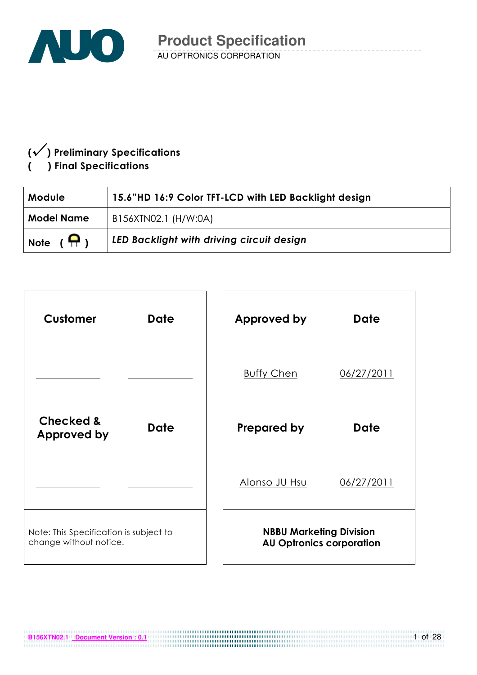

### $(\sqrt{} )$  Preliminary Specifications ) Final Specifications

| <b>Module</b>     | 15.6"HD 16:9 Color TFT-LCD with LED Backlight design |  |  |  |  |
|-------------------|------------------------------------------------------|--|--|--|--|
| <b>Model Name</b> | B156XTN02.1 (H/W:0A)                                 |  |  |  |  |
| Note $(\bigcap)$  | LED Backlight with driving circuit design            |  |  |  |  |

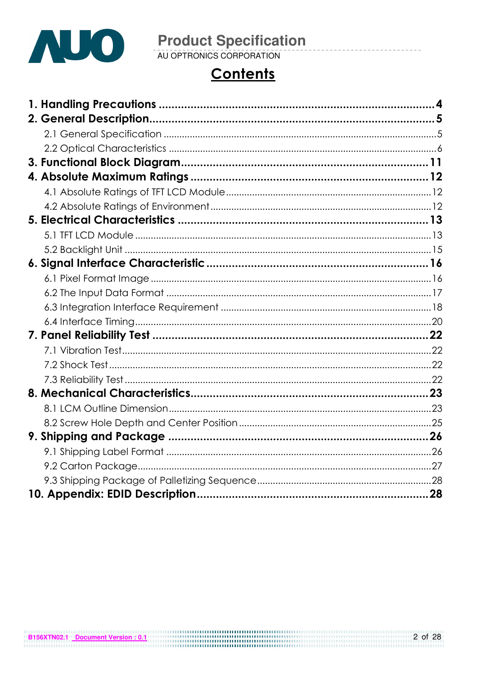

# **Contents**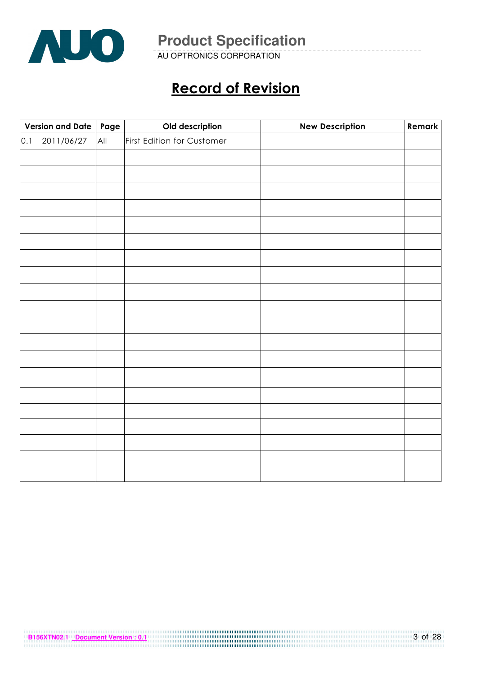

AU OPTRONICS CORPORATION

## Record of Revision

| Version and Date   Page |     | Old description            | <b>New Description</b> | Remark |
|-------------------------|-----|----------------------------|------------------------|--------|
| 2011/06/27<br>0.1       | All | First Edition for Customer |                        |        |
|                         |     |                            |                        |        |
|                         |     |                            |                        |        |
|                         |     |                            |                        |        |
|                         |     |                            |                        |        |
|                         |     |                            |                        |        |
|                         |     |                            |                        |        |
|                         |     |                            |                        |        |
|                         |     |                            |                        |        |
|                         |     |                            |                        |        |
|                         |     |                            |                        |        |
|                         |     |                            |                        |        |
|                         |     |                            |                        |        |
|                         |     |                            |                        |        |
|                         |     |                            |                        |        |
|                         |     |                            |                        |        |
|                         |     |                            |                        |        |
|                         |     |                            |                        |        |
|                         |     |                            |                        |        |
|                         |     |                            |                        |        |
|                         |     |                            |                        |        |
|                         |     |                            |                        |        |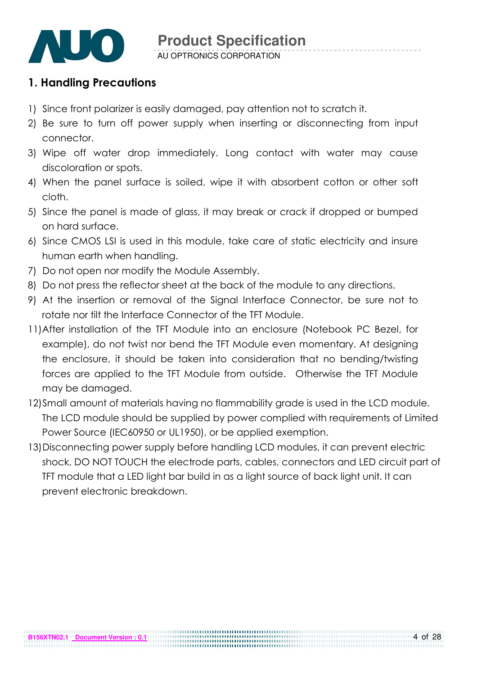

### 1. Handling Precautions

- 1) Since front polarizer is easily damaged, pay attention not to scratch it.
- 2) Be sure to turn off power supply when inserting or disconnecting from input connector.
- 3) Wipe off water drop immediately. Long contact with water may cause discoloration or spots.
- 4) When the panel surface is soiled, wipe it with absorbent cotton or other soft cloth.
- 5) Since the panel is made of glass, it may break or crack if dropped or bumped on hard surface.
- 6) Since CMOS LSI is used in this module, take care of static electricity and insure human earth when handling.
- 7) Do not open nor modify the Module Assembly.
- 8) Do not press the reflector sheet at the back of the module to any directions.
- 9) At the insertion or removal of the Signal Interface Connector, be sure not to rotate nor tilt the Interface Connector of the TFT Module.
- 11) After installation of the TFT Module into an enclosure (Notebook PC Bezel, for example), do not twist nor bend the TFT Module even momentary. At designing the enclosure, it should be taken into consideration that no bending/twisting forces are applied to the TFT Module from outside. Otherwise the TFT Module may be damaged.
- 12)Small amount of materials having no flammability grade is used in the LCD module. The LCD module should be supplied by power complied with requirements of Limited Power Source (IEC60950 or UL1950), or be applied exemption.
- 13)Disconnecting power supply before handling LCD modules, it can prevent electric shock, DO NOT TOUCH the electrode parts, cables, connectors and LED circuit part of TFT module that a LED light bar build in as a light source of back light unit. It can prevent electronic breakdown.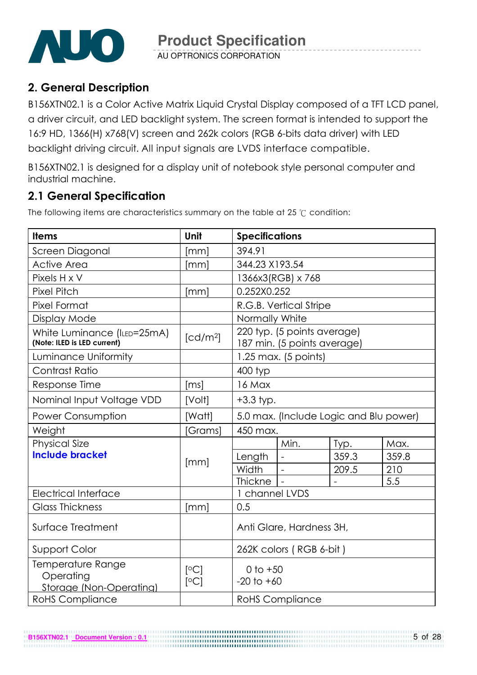

### 2. General Description

B156XTN02.1 is a Color Active Matrix Liquid Crystal Display composed of a TFT LCD panel, a driver circuit, and LED backlight system. The screen format is intended to support the 16:9 HD, 1366(H) x768(V) screen and 262k colors (RGB 6-bits data driver) with LED backlight driving circuit. All input signals are LVDS interface compatible.

B156XTN02.1 is designed for a display unit of notebook style personal computer and industrial machine.

### 2.1 General Specification

**B156XTN02.1 Document Version : 0.1**

The following items are characteristics summary on the table at 25  $\degree$ C condition:

| <b>Items</b>                                               | Unit                 | <b>Specifications</b>                  |                                                            |       |       |  |
|------------------------------------------------------------|----------------------|----------------------------------------|------------------------------------------------------------|-------|-------|--|
| Screen Diagonal                                            | [mm]                 | 394.91                                 |                                                            |       |       |  |
| <b>Active Area</b>                                         | [mm]                 | 344.23 X193.54                         |                                                            |       |       |  |
| Pixels H x V                                               |                      |                                        | 1366x3(RGB) x 768                                          |       |       |  |
| <b>Pixel Pitch</b>                                         | [mm]                 | 0.252X0.252                            |                                                            |       |       |  |
| <b>Pixel Format</b>                                        |                      |                                        | R.G.B. Vertical Stripe                                     |       |       |  |
| <b>Display Mode</b>                                        |                      | Normally White                         |                                                            |       |       |  |
| White Luminance (ILED=25mA)<br>(Note: ILED is LED current) | [cd/m <sup>2</sup> ] |                                        | 220 typ. (5 points average)<br>187 min. (5 points average) |       |       |  |
| Luminance Uniformity                                       |                      |                                        | $1.25$ max. (5 points)                                     |       |       |  |
| <b>Contrast Ratio</b>                                      |                      | 400 typ                                |                                                            |       |       |  |
| Response Time                                              | [ms]                 | 16 Max                                 |                                                            |       |       |  |
| Nominal Input Voltage VDD                                  | [Volt]               | $+3.3$ typ.                            |                                                            |       |       |  |
| <b>Power Consumption</b>                                   | [Watt]               | 5.0 max. (Include Logic and Blu power) |                                                            |       |       |  |
| Weight                                                     | [Grams]              | 450 max.                               |                                                            |       |       |  |
| <b>Physical Size</b>                                       |                      |                                        | Min.                                                       | Typ.  | Max.  |  |
| <b>Include bracket</b>                                     | [mm]                 | Length                                 |                                                            | 359.3 | 359.8 |  |
|                                                            |                      | Width                                  |                                                            | 209.5 | 210   |  |
|                                                            |                      | <b>Thickne</b>                         | $\overline{\phantom{a}}$                                   |       | 5.5   |  |
| <b>Electrical Interface</b>                                |                      | 1 channel LVDS                         |                                                            |       |       |  |
| <b>Glass Thickness</b>                                     | [mm]                 | 0.5                                    |                                                            |       |       |  |
| Surface Treatment                                          |                      | Anti Glare, Hardness 3H,               |                                                            |       |       |  |
| Support Color                                              |                      |                                        | 262K colors (RGB 6-bit)                                    |       |       |  |
| Temperature Range<br>Operating<br>Storage (Non-Operating)  | [°C]<br>[°C]         | 0 to $+50$<br>$-20$ to $+60$           |                                                            |       |       |  |
| <b>RoHS Compliance</b>                                     |                      |                                        | <b>RoHS Compliance</b>                                     |       |       |  |

5 of 28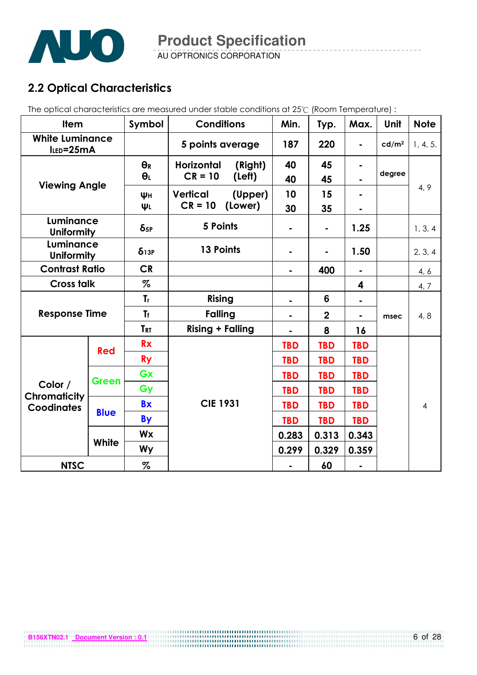

AU OPTRONICS CORPORATION

### 2.2 Optical Characteristics

The optical characteristics are measured under stable conditions at 25°C (Room Temperature) :

| <b>Item</b>                         |                                    | Symbol                  | <b>Conditions</b>            |                  | Min.           | Typ.           | Max.           | Unit              | <b>Note</b>    |
|-------------------------------------|------------------------------------|-------------------------|------------------------------|------------------|----------------|----------------|----------------|-------------------|----------------|
| <b>White Luminance</b><br>ILED=25mA |                                    |                         |                              | 5 points average |                | 220            | $\blacksquare$ | cd/m <sup>2</sup> | 1, 4, 5.       |
|                                     |                                    | $\Theta_R$              | <b>Horizontal</b><br>(Right) |                  | 40             | 45             |                |                   |                |
| <b>Viewing Angle</b>                |                                    | $\theta_L$              | $CR = 10$                    | (Left)           | 40             | 45             |                | degree            |                |
|                                     |                                    | ΨH                      | <b>Vertical</b>              | (Upper)          | 10             | 15             |                |                   | 4, 9           |
|                                     |                                    | ΨL                      | $CR = 10$                    | (Lower)          | 30             | 35             |                |                   |                |
| Luminance<br><b>Uniformity</b>      |                                    | $\delta$ <sub>5P</sub>  | 5 Points                     |                  |                | $\blacksquare$ | 1.25           |                   | 1, 3, 4        |
| Luminance<br><b>Uniformity</b>      |                                    | $\delta$ <sub>13P</sub> | 13 Points                    |                  |                |                | 1.50           |                   | 2, 3, 4        |
|                                     | <b>CR</b><br><b>Contrast Ratio</b> |                         |                              | 400              | $\blacksquare$ |                | 4, 6           |                   |                |
| <b>Cross talk</b>                   |                                    | %                       |                              |                  |                |                | 4              |                   | 4, 7           |
|                                     |                                    | $\mathbf{r}$            | Rising                       |                  |                | 6              | ۰              |                   |                |
| <b>Response Time</b>                |                                    | <b>Tf</b>               | <b>Falling</b>               |                  |                | $\overline{2}$ | $\blacksquare$ | msec              | 4, 8           |
|                                     |                                    | <b>TRT</b>              | <b>Rising + Falling</b>      |                  |                | 8              | 16             |                   |                |
| <b>Red</b>                          |                                    | <b>Rx</b>               |                              |                  | <b>TBD</b>     | <b>TBD</b>     | <b>TBD</b>     |                   |                |
|                                     |                                    | <b>Ry</b>               |                              |                  | <b>TBD</b>     | <b>TBD</b>     | <b>TBD</b>     |                   |                |
|                                     | Green                              | Gx                      |                              |                  | <b>TBD</b>     | <b>TBD</b>     | <b>TBD</b>     |                   |                |
| Color /<br><b>Chromaticity</b>      |                                    | Gy                      |                              |                  | <b>TBD</b>     | <b>TBD</b>     | <b>TBD</b>     |                   |                |
| <b>Coodinates</b>                   |                                    | <b>Bx</b>               | <b>CIE 1931</b>              |                  | <b>TBD</b>     | <b>TBD</b>     | <b>TBD</b>     |                   | $\overline{4}$ |
|                                     | <b>Blue</b>                        | <b>By</b>               |                              |                  | <b>TBD</b>     | <b>TBD</b>     | <b>TBD</b>     |                   |                |
|                                     |                                    | <b>Wx</b>               |                              |                  | 0.283          | 0.313          | 0.343          |                   |                |
|                                     | White                              | <b>Wy</b>               |                              |                  | 0.299          | 0.329          | 0.359          |                   |                |
| <b>NTSC</b>                         |                                    | %                       |                              |                  |                | 60             |                |                   |                |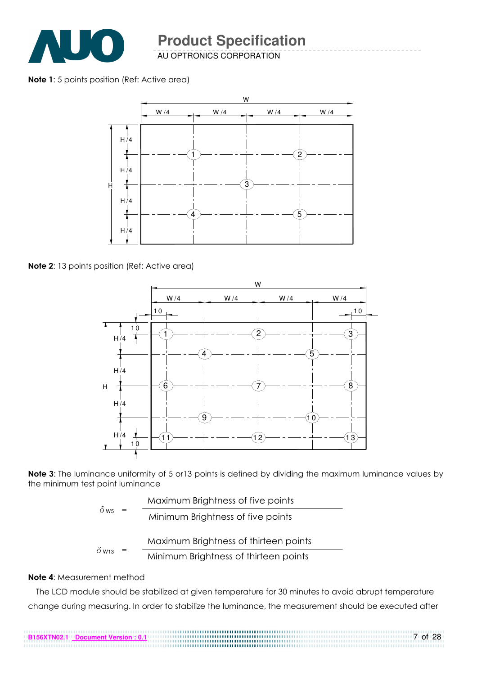

AU OPTRONICS CORPORATION

#### Note 1: 5 points position (Ref: Active area)



Note 2: 13 points position (Ref: Active area)



Note 3: The luminance uniformity of 5 or 13 points is defined by dividing the maximum luminance values by the minimum test point luminance

|                                | Maximum Brightness of five points     |
|--------------------------------|---------------------------------------|
| $\delta$ W <sub>5</sub><br>$=$ | Minimum Brightness of five points     |
|                                | Maximum Brightness of thirteen points |
| $\delta$ w <sub>13</sub>       |                                       |

$$
3 = \text{Minimum Briggs of thirteen points}
$$

#### Note 4: Measurement method

The LCD module should be stabilized at given temperature for 30 minutes to avoid abrupt temperature change during measuring. In order to stabilize the luminance, the measurement should be executed after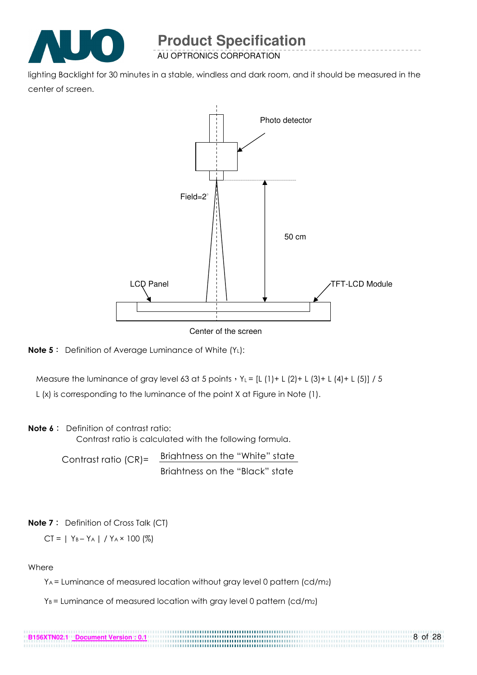

AU OPTRONICS CORPORATION

lighting Backlight for 30 minutes in a stable, windless and dark room, and it should be measured in the center of screen.



Center of the screen



Measure the luminance of gray level 63 at 5 points  $Y_L = [L (1) + L (2) + L (3) + L (4) + L (5)] / 5$ 

L (x) is corresponding to the luminance of the point X at Figure in Note (1).

#### Note 6: Definition of contrast ratio:

Contrast ratio is calculated with the following formula.

Contrast ratio (CR)= Brightness on the "White" state Brightness on the "Black" state

**Note 7**: Definition of Cross Talk (CT)

$$
CT = | Y_B - Y_A | / Y_A \times 100 (%)
$$

**B156XTN02.1 Document Version : 0.1**

#### Where

YA = Luminance of measured location without gray level 0 pattern (cd/m2)

..............

8 of 28

 $Y_B$  = Luminance of measured location with gray level 0 pattern (cd/m<sub>2</sub>)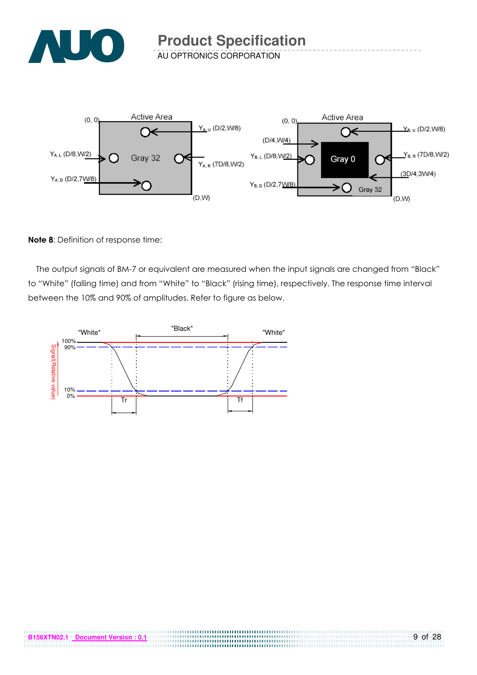



Note 8: Definition of response time:

The output signals of BM-7 or equivalent are measured when the input signals are changed from "Black" to "White" (falling time) and from "White" to "Black" (rising time), respectively. The response time interval between the 10% and 90% of amplitudes. Refer to figure as below.

> .....................................

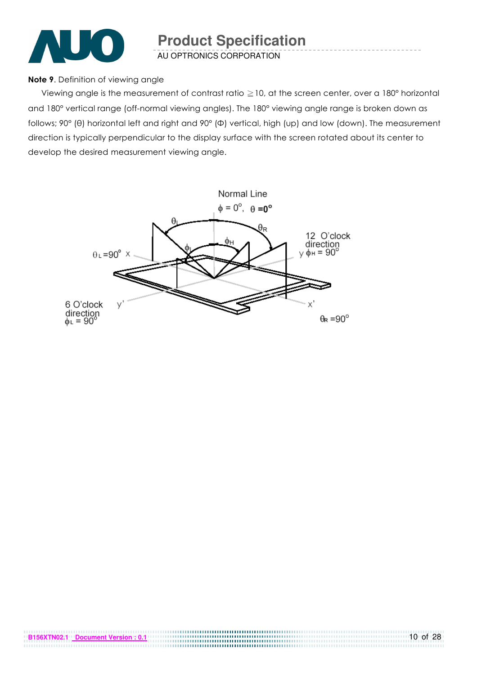

#### Note 9. Definition of viewing angle

Viewing angle is the measurement of contrast ratio  $\geq$  10, at the screen center, over a 180° horizontal and 180° vertical range (off-normal viewing angles). The 180° viewing angle range is broken down as follows; 90° (θ) horizontal left and right and 90° (Φ) vertical, high (up) and low (down). The measurement direction is typically perpendicular to the display surface with the screen rotated about its center to develop the desired measurement viewing angle.

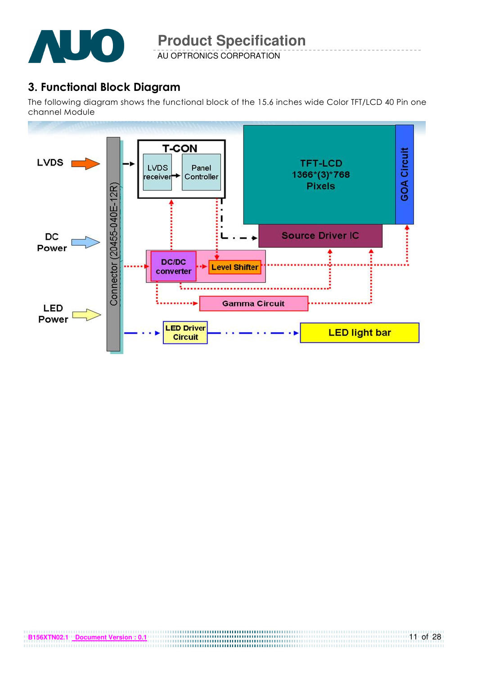

AU OPTRONICS CORPORATION

### 3. Functional Block Diagram

The following diagram shows the functional block of the 15.6 inches wide Color TFT/LCD 40 Pin one channel Module

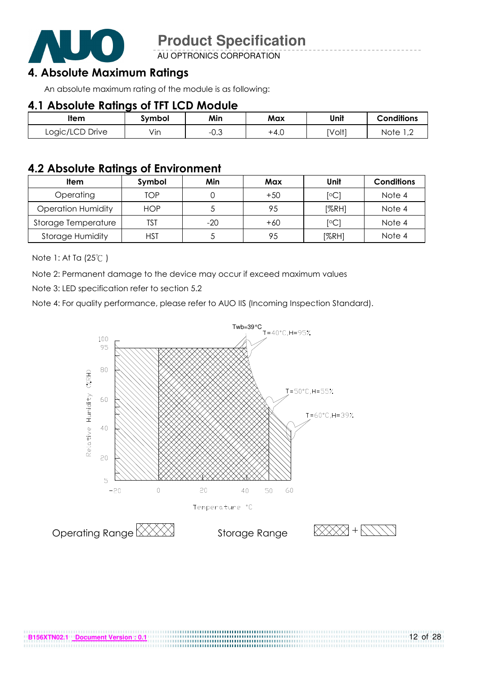

AU OPTRONICS CORPORATION

### 4. Absolute Maximum Ratings

An absolute maximum rating of the module is as following:

#### 4.1 Absolute Ratings of TFT LCD Module

| ltem            | Svmbol | Min       | Max  | Unit   | <b>Conditions</b>      |
|-----------------|--------|-----------|------|--------|------------------------|
| Logic/LCD Drive | Vin    | ົ<br>−∪.∪ | +4.0 | [Volt] | Note<br>$\overline{ }$ |

#### 4.2 Absolute Ratings of Environment

| <b>Item</b>               | Symbol     | Min   | Max   | Unit           | <b>Conditions</b> |
|---------------------------|------------|-------|-------|----------------|-------------------|
| Operating                 | TOP        |       | $+50$ | $\overline{C}$ | Note 4            |
| <b>Operation Humidity</b> | <b>HOP</b> |       | 95    | [%RH]          | Note 4            |
| Storage Temperature       | TST        | $-20$ | $+60$ | $\overline{C}$ | Note 4            |
| <b>Storage Humidity</b>   | HST        |       | 95    | [%RH]          | Note 4            |

Note 1: At Ta (25°C)

Note 2: Permanent damage to the device may occur if exceed maximum values

Note 3: LED specification refer to section 5.2

Note 4: For quality performance, please refer to AUO IIS (Incoming Inspection Standard).

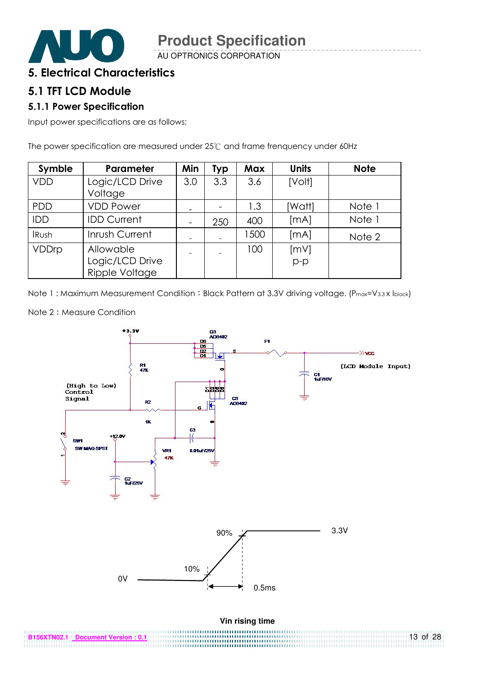

#### 5. Electrical Characteristics

#### 5.1 TFT LCD Module

#### 5.1.1 Power Specification

Input power specifications are as follows;

The power specification are measured under  $25^{\circ}$  and frame frenquency under 60Hz

| Symble       | Parameter                                      | Min             | <b>Typ</b> | <b>Max</b> | <b>Units</b>  | <b>Note</b> |
|--------------|------------------------------------------------|-----------------|------------|------------|---------------|-------------|
| <b>VDD</b>   | Logic/LCD Drive<br>Voltage                     | 3.0             | 3.3        | 3.6        | [Volt]        |             |
| <b>PDD</b>   | <b>VDD Power</b>                               | -               |            | 1.3        | [Watt]        | Note 1      |
| IDD          | <b>IDD Current</b>                             | $\qquad \qquad$ | 250        | 400        | [MA]          | Note 1      |
| <b>IRush</b> | Inrush Current                                 |                 |            | 1500       | [mA]          | Note 2      |
| VDDrp        | Allowable<br>Logic/LCD Drive<br>Ripple Voltage |                 |            | 100        | [mV]<br>$p-p$ |             |

Note 1: Maximum Measurement Condition: Black Pattern at 3.3V driving voltage. (P<sub>max</sub>=V<sub>3.3</sub> x I<sub>black</sub>)





. . . . . . . . . . . . .

..................................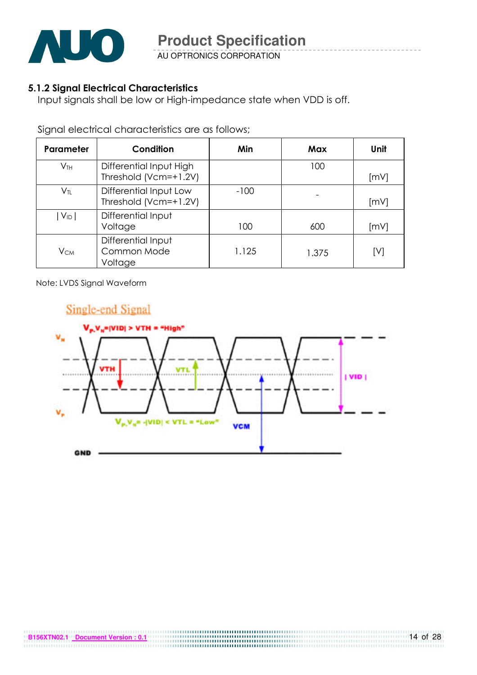

#### 5.1.2 Signal Electrical Characteristics

Input signals shall be low or High-impedance state when VDD is off.

Signal electrical characteristics are as follows;

| <b>Parameter</b>           | Condition                                        | Min    | Max   | Unit |
|----------------------------|--------------------------------------------------|--------|-------|------|
| $V_{TH}$                   | Differential Input High<br>Threshold (Vcm=+1.2V) |        | 100   | [mV] |
| $\mathsf{V}_{\textsf{TL}}$ | Differential Input Low<br>Threshold (Vcm=+1.2V)  | $-100$ |       | [mV] |
| $ V_{ID} $                 | Differential Input<br>Voltage                    | 100    | 600   | [mV] |
| $V_{CM}$                   | Differential Input<br>Common Mode<br>Voltage     | 1.125  | 1.375 | [V]  |

Note: LVDS Signal Waveform

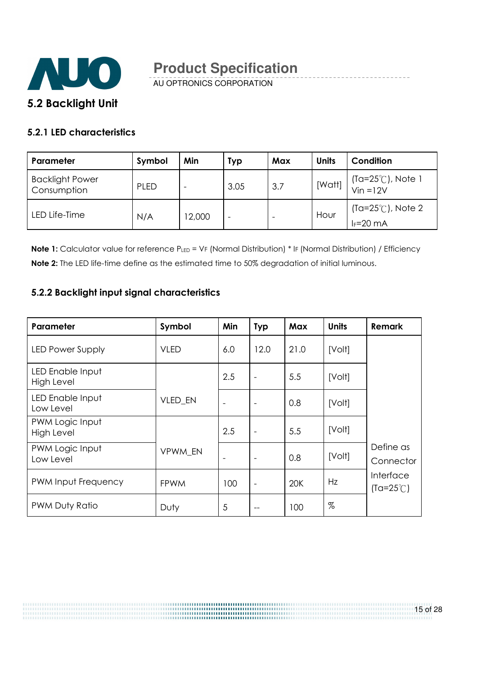

#### 5.2.1 LED characteristics

| Parameter                             | Symbol      | Min    | Typ                      | Max | <b>Units</b> | Condition                                     |
|---------------------------------------|-------------|--------|--------------------------|-----|--------------|-----------------------------------------------|
| <b>Backlight Power</b><br>Consumption | <b>PLED</b> |        | 3.05                     | 3.7 | [Watt]       | $(Ta=25^{\circ}C)$ , Note 1<br>Vin =12V       |
| LED Life-Time                         | N/A         | 12,000 | $\overline{\phantom{a}}$ |     | Hour         | (Ta= $25^{\circ}$ C), Note 2<br>$I_F = 20$ mA |

Note 1: Calculator value for reference PLED = VF (Normal Distribution) \* IF (Normal Distribution) / Efficiency Note 2: The LED life-time define as the estimated time to 50% degradation of initial luminous.

#### 5.2.2 Backlight input signal characteristics

| Parameter                            | Symbol         | Min                      | <b>Typ</b>               | Max  | <b>Units</b> | Remark                          |
|--------------------------------------|----------------|--------------------------|--------------------------|------|--------------|---------------------------------|
| <b>LED Power Supply</b>              | <b>VLED</b>    | 6.0                      | 12.0                     | 21.0 | [Volt]       |                                 |
| LED Enable Input<br>High Level       |                | 2.5                      | $\overline{\phantom{a}}$ | 5.5  | [Volt]       |                                 |
| LED Enable Input<br>Low Level        | <b>VLED EN</b> | $\overline{\phantom{0}}$ | $\overline{\phantom{a}}$ | 0.8  | [Volt]       |                                 |
| PWM Logic Input<br><b>High Level</b> |                | 2.5                      | $\overline{\phantom{a}}$ | 5.5  | [Volt]       |                                 |
| PWM Logic Input<br>Low Level         | VPWM EN        |                          | $\overline{\phantom{a}}$ | 0.8  | [Volt]       | Define as<br>Connector          |
| PWM Input Frequency                  | <b>FPWM</b>    | 100                      | $\overline{\phantom{a}}$ | 20K  | Hz           | Interface<br>$(Ta=25^{\circ}C)$ |
| PWM Duty Ratio                       | Duty           | 5                        | $-$                      | 100  | $\%$         |                                 |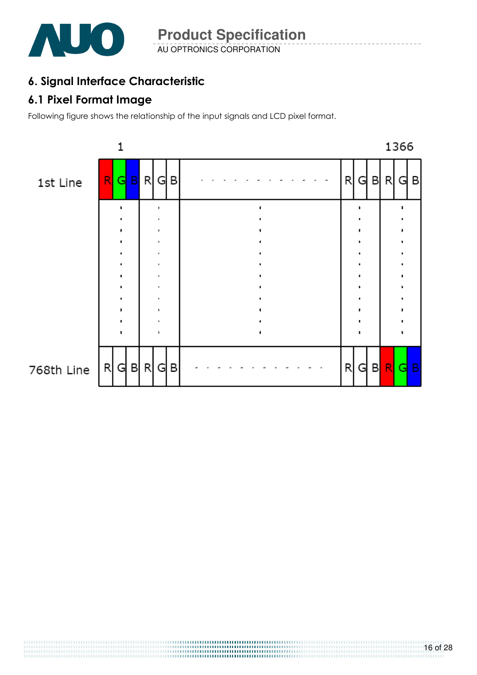

AU OPTRONICS CORPORATION **Product Specification** 

### 6. Signal Interface Characteristic

### 6.1 Pixel Format Image

Following figure shows the relationship of the input signals and LCD pixel format.

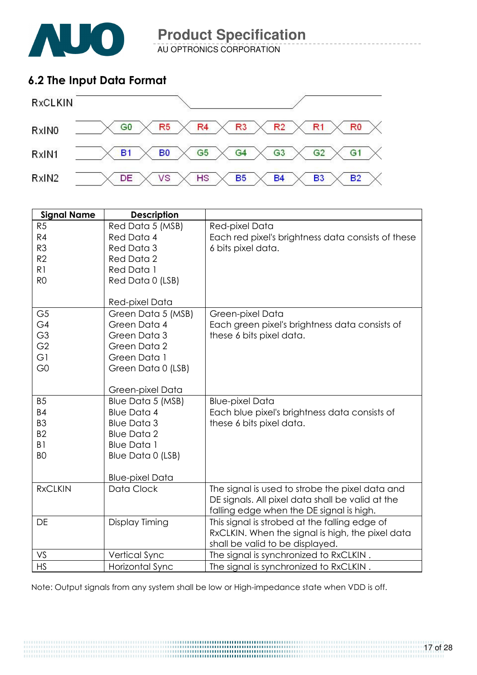

AU OPTRONICS CORPORATION

### 6.2 The Input Data Format



| <b>Signal Name</b> | <b>Description</b>     |                                                    |
|--------------------|------------------------|----------------------------------------------------|
| R <sub>5</sub>     | Red Data 5 (MSB)       | Red-pixel Data                                     |
| R4                 | Red Data 4             | Each red pixel's brightness data consists of these |
| R <sub>3</sub>     | Red Data 3             | 6 bits pixel data.                                 |
| R2                 | Red Data 2             |                                                    |
| R1                 | Red Data 1             |                                                    |
| R <sub>O</sub>     | Red Data 0 (LSB)       |                                                    |
|                    |                        |                                                    |
|                    | Red-pixel Data         |                                                    |
| G <sub>5</sub>     | Green Data 5 (MSB)     | Green-pixel Data                                   |
| G4                 | Green Data 4           | Each green pixel's brightness data consists of     |
| G <sub>3</sub>     | Green Data 3           | these 6 bits pixel data.                           |
| G <sub>2</sub>     | Green Data 2           |                                                    |
| G1                 | Green Data 1           |                                                    |
| G <sub>0</sub>     | Green Data 0 (LSB)     |                                                    |
|                    |                        |                                                    |
|                    | Green-pixel Data       |                                                    |
| <b>B5</b>          | Blue Data 5 (MSB)      | <b>Blue-pixel Data</b>                             |
| <b>B4</b>          | <b>Blue Data 4</b>     | Each blue pixel's brightness data consists of      |
| B <sub>3</sub>     | <b>Blue Data 3</b>     | these 6 bits pixel data.                           |
| B <sub>2</sub>     | <b>Blue Data 2</b>     |                                                    |
| B <sub>1</sub>     | <b>Blue Data 1</b>     |                                                    |
| B <sub>O</sub>     | Blue Data 0 (LSB)      |                                                    |
|                    |                        |                                                    |
|                    | <b>Blue-pixel Data</b> |                                                    |
| <b>RxCLKIN</b>     | Data Clock             | The signal is used to strobe the pixel data and    |
|                    |                        | DE signals. All pixel data shall be valid at the   |
|                    |                        | falling edge when the DE signal is high.           |
| DE                 | Display Timing         | This signal is strobed at the falling edge of      |
|                    |                        | RxCLKIN. When the signal is high, the pixel data   |
|                    |                        | shall be valid to be displayed.                    |
| VS                 | Vertical Sync          | The signal is synchronized to RxCLKIN.             |
| <b>HS</b>          | Horizontal Sync        | The signal is synchronized to RxCLKIN.             |

Note: Output signals from any system shall be low or High-impedance state when VDD is off.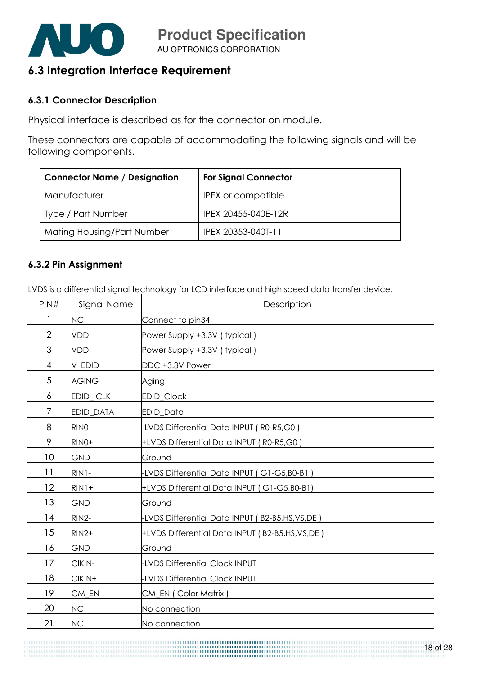

AU OPTRONICS CORPORATION **Product Specification** 

### 6.3 Integration Interface Requirement

#### 6.3.1 Connector Description

Physical interface is described as for the connector on module.

These connectors are capable of accommodating the following signals and will be following components.

| <b>Connector Name / Designation</b> | <b>For Signal Connector</b> |
|-------------------------------------|-----------------------------|
| Manufacturer                        | <b>IPEX or compatible</b>   |
| Type / Part Number                  | IPEX 20455-040E-12R         |
| Mating Housing/Part Number          | IPEX 20353-040T-11          |

#### 6.3.2 Pin Assignment

LVDS is a differential signal technology for LCD interface and high speed data transfer device.

| PIN#           | Signal Name      | Description                                       |
|----------------|------------------|---------------------------------------------------|
|                | NC               | Connect to pin34                                  |
| $\overline{2}$ | <b>VDD</b>       | Power Supply +3.3V (typical)                      |
| 3              | <b>VDD</b>       | Power Supply +3.3V (typical)                      |
| $\overline{4}$ | V_EDID           | DDC +3.3V Power                                   |
| $\sqrt{5}$     | <b>AGING</b>     | Aging                                             |
| 6              | EDID_CLK         | EDID_Clock                                        |
| $\overline{7}$ | <b>EDID DATA</b> | <b>EDID Data</b>                                  |
| 8              | RINO-            | -LVDS Differential Data INPUT (R0-R5,G0)          |
| 9              | RINO+            | +LVDS Differential Data INPUT (R0-R5,G0)          |
| 10             | GND              | Ground                                            |
| 11             | RIN1-            | -LVDS Differential Data INPUT (G1-G5,B0-B1)       |
| 12             | $RIN1+$          | +LVDS Differential Data INPUT (G1-G5,B0-B1)       |
| 13             | GND              | Ground                                            |
| 14             | RIN2-            | -LVDS Differential Data INPUT (B2-B5,HS,VS,DE)    |
| 15             | $RIN2+$          | +LVDS Differential Data INPUT (B2-B5, HS, VS, DE) |
| 16             | <b>GND</b>       | Ground                                            |
| 17             | CIKIN-           | <b>LVDS Differential Clock INPUT</b>              |
| 18             | CIKIN+           | <b>LVDS Differential Clock INPUT</b>              |
| 19             | CM_EN            | CM_EN (Color Matrix)                              |
| 20             | <b>NC</b>        | No connection                                     |
| 21             | <b>NC</b>        | No connection                                     |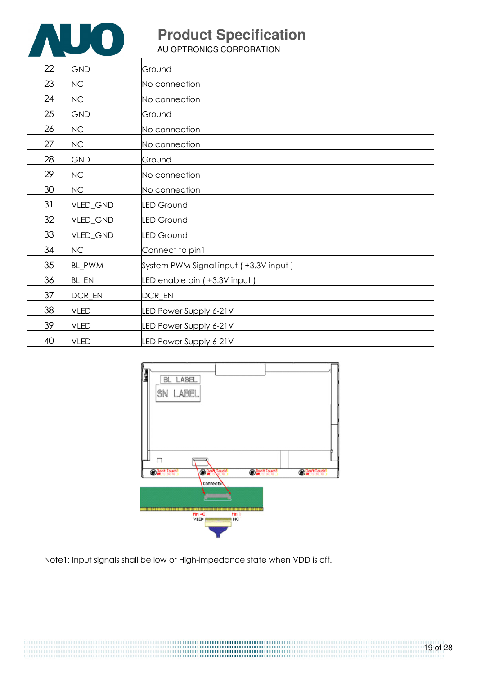

AU OPTRONICS CORPORATION

| 22 | <b>GND</b>  | Ground                                |
|----|-------------|---------------------------------------|
| 23 | NC          | No connection                         |
| 24 | NC          | No connection                         |
| 25 | <b>GND</b>  | Ground                                |
| 26 | NC          | No connection                         |
| 27 | NC          | No connection                         |
| 28 | <b>GND</b>  | Ground                                |
| 29 | NC          | No connection                         |
| 30 | NC          | No connection                         |
| 31 | VLED_GND    | <b>LED Ground</b>                     |
| 32 | VLED_GND    | <b>LED Ground</b>                     |
| 33 | VLED_GND    | <b>LED Ground</b>                     |
| 34 | NC          | Connect to pin1                       |
| 35 | BL_PWM      | System PWM Signal input (+3.3V input) |
| 36 | BL_EN       | LED enable pin (+3.3V input)          |
| 37 | DCR_EN      | DCR_EN                                |
| 38 | <b>VLED</b> | LED Power Supply 6-21V                |
| 39 | <b>VLED</b> | LED Power Supply 6-21V                |
| 40 | <b>VLED</b> | LED Power Supply 6-21V                |



Note1: Input signals shall be low or High-impedance state when VDD is off.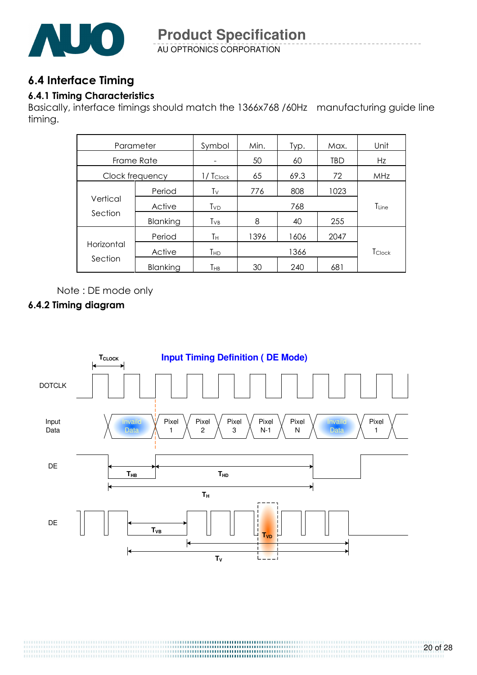

AU OPTRONICS CORPORATION **Product Specification** 

### 6.4 Interface Timing

#### 6.4.1 Timing Characteristics

Basically, interface timings should match the 1366x768 /60Hz manufacturing guide line timing.

| Parameter             |          | Symbol          | Min. | Typ. | Max. | Unit       |  |
|-----------------------|----------|-----------------|------|------|------|------------|--|
| Frame Rate            |          |                 | 50   | 60   | TBD  | Hz         |  |
| Clock frequency       |          | $1/ T_{Clock}$  | 65   | 69.3 | 72   | MHz        |  |
| Vertical<br>Section   | Period   | Tv              | 776  | 808  | 1023 |            |  |
|                       | Active   | Tv <sub>D</sub> |      | 768  |      | $T_{Line}$ |  |
|                       | Blanking | $T_{VB}$        | 8    | 40   | 255  |            |  |
| Horizontal<br>Section | Period   | Τн              | 1396 | 1606 | 2047 |            |  |
|                       | Active   | Тнр             |      | 1366 |      | TClock     |  |
|                       | Blanking | Тнв             | 30   | 240  | 681  |            |  |

Note : DE mode only

#### 6.4.2 Timing diagram

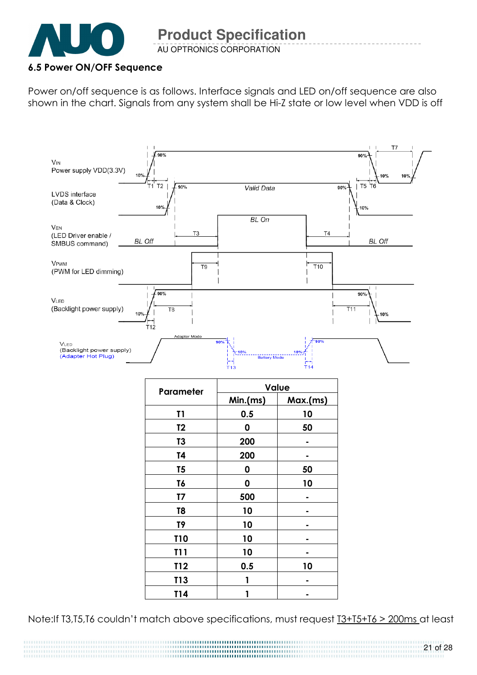

AU OPTRONICS CORPORATION **Product Specification** 

#### 6.5 Power ON/OFF Sequence

Power on/off sequence is as follows. Interface signals and LED on/off sequence are also shown in the chart. Signals from any system shall be Hi-Z state or low level when VDD is off



| Parameter      | Value    |          |  |  |
|----------------|----------|----------|--|--|
|                | Min.(ms) | Max.(ms) |  |  |
| T1             | 0.5      | 10       |  |  |
| T <sub>2</sub> | 0        | 50       |  |  |
| T3             | 200      |          |  |  |
| T4             | 200      |          |  |  |
| T5             | 0        | 50       |  |  |
| T6             | 0        | 10       |  |  |
| T7             | 500      |          |  |  |
| T8             | 10       |          |  |  |
| T9             | 10       |          |  |  |
| <b>T10</b>     | 10       |          |  |  |
| T11            | 10       |          |  |  |
| T12            | 0.5      | 10       |  |  |
| T13            | 1        |          |  |  |
| T14            |          |          |  |  |

Note:If T3,T5,T6 couldn't match above specifications, must request T3+T5+T6 > 200ms at least

21 of 28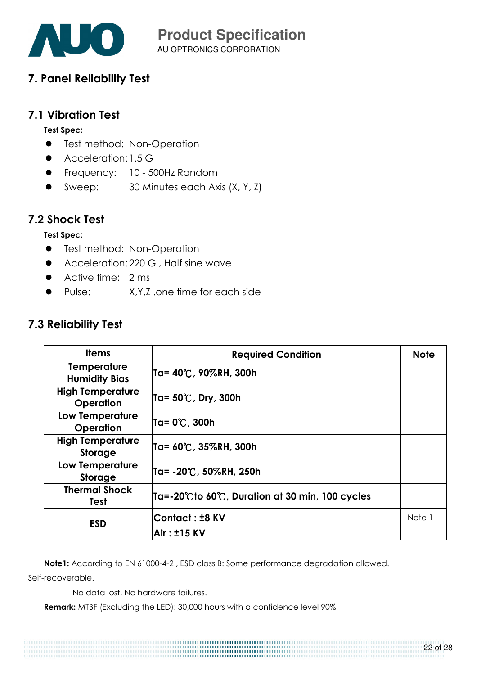

### 7. Panel Reliability Test

#### 7.1 Vibration Test

#### Test Spec:

- **•** Test method: Non-Operation
- **Acceleration: 1.5 G**
- **•** Frequency: 10 500Hz Random
- Sweep: 30 Minutes each Axis (X, Y, Z)

### 7.2 Shock Test

#### Test Spec:

- **•** Test method: Non-Operation
- Acceleration: 220 G , Half sine wave
- Active time: 2 ms
- Pulse: X,Y,Z .one time for each side

#### 7.3 Reliability Test

| <b>Items</b>                                | <b>Required Condition</b>                                       | <b>Note</b> |
|---------------------------------------------|-----------------------------------------------------------------|-------------|
| <b>Temperature</b><br><b>Humidity Bias</b>  | Ta= 40℃, 90%RH, 300h                                            |             |
| <b>High Temperature</b><br><b>Operation</b> | Ta= 50℃, Dry, 300h                                              |             |
| Low Temperature<br>Operation                | Ta= 0℃, 300h                                                    |             |
| <b>High Temperature</b><br><b>Storage</b>   | Ta= 60℃, 35%RH, 300h                                            |             |
| <b>Low Temperature</b><br>Storage           | Ta= -20℃, 50%RH, 250h                                           |             |
| <b>Thermal Shock</b><br><b>Test</b>         | $\overline{a}$ Ta=-20°C to 60°C, Duration at 30 min, 100 cycles |             |
| <b>ESD</b>                                  | Contact: ±8 KV                                                  | Note 1      |
|                                             | <b>Air: ±15 KV</b>                                              |             |

Note1: According to EN 61000-4-2 , ESD class B: Some performance degradation allowed.

Self-recoverable.

No data lost, No hardware failures.

Remark: MTBF (Excluding the LED): 30,000 hours with a confidence level 90%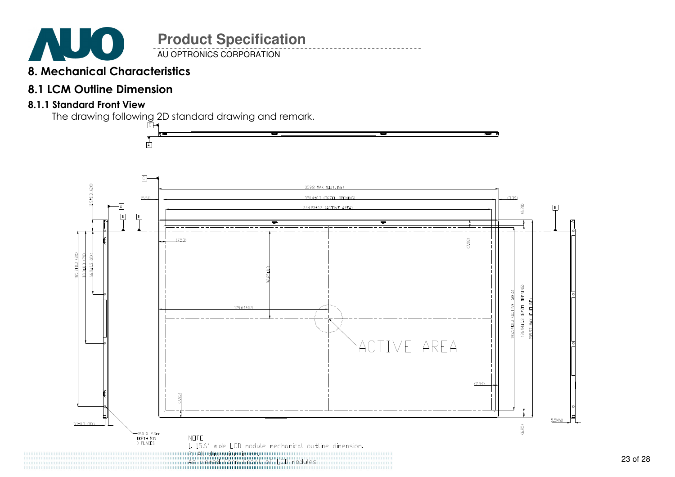

AU OPTRONICS CORPORATION

### 8. Mechanical Characteristics

### 8.1 LCM Outline Dimension

#### 8.1.1 Standard Front View

The drawing following 2D standard drawing and remark.

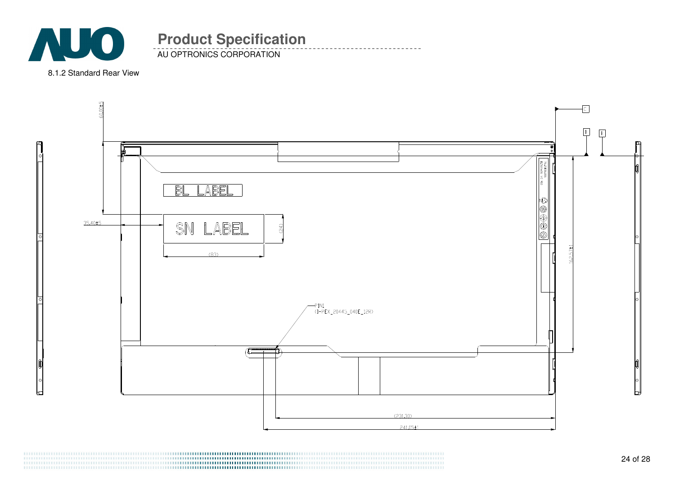

AU OPTRONICS CORPORATION

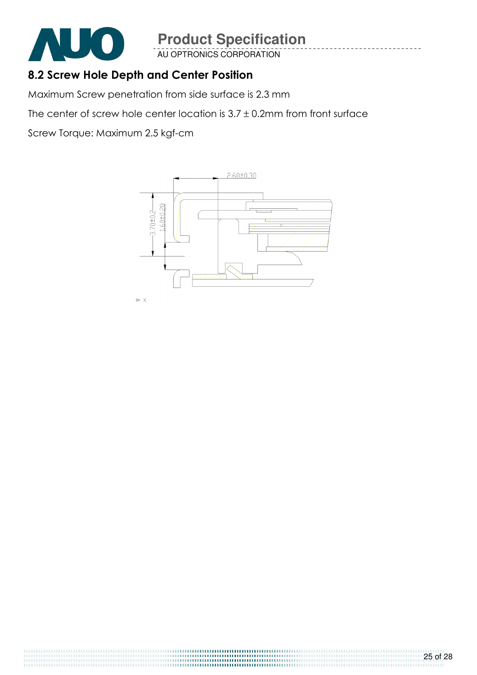

AU OPTRONICS CORPORATION

### 8.2 Screw Hole Depth and Center Position

Maximum Screw penetration from side surface is 2.3 mm

The center of screw hole center location is  $3.7 \pm 0.2$ mm from front surface

Screw Torque: Maximum 2.5 kgf-cm

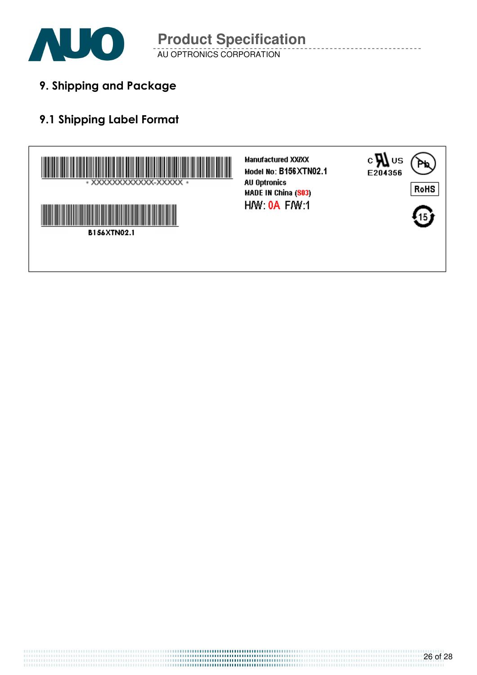

AU OPTRONICS CORPORATION **Product Specification** 

9. Shipping and Package

## 9.1 Shipping Label Format

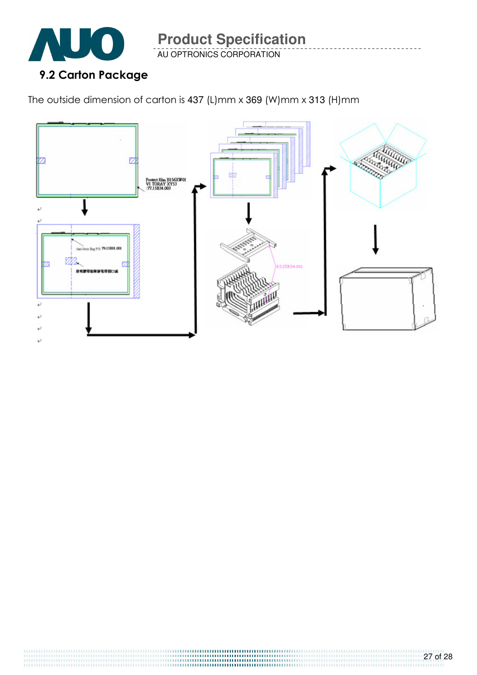

AU OPTRONICS CORPORATION

The outside dimension of carton is 437 (L)mm x 369 (W)mm x 313 (H)mm